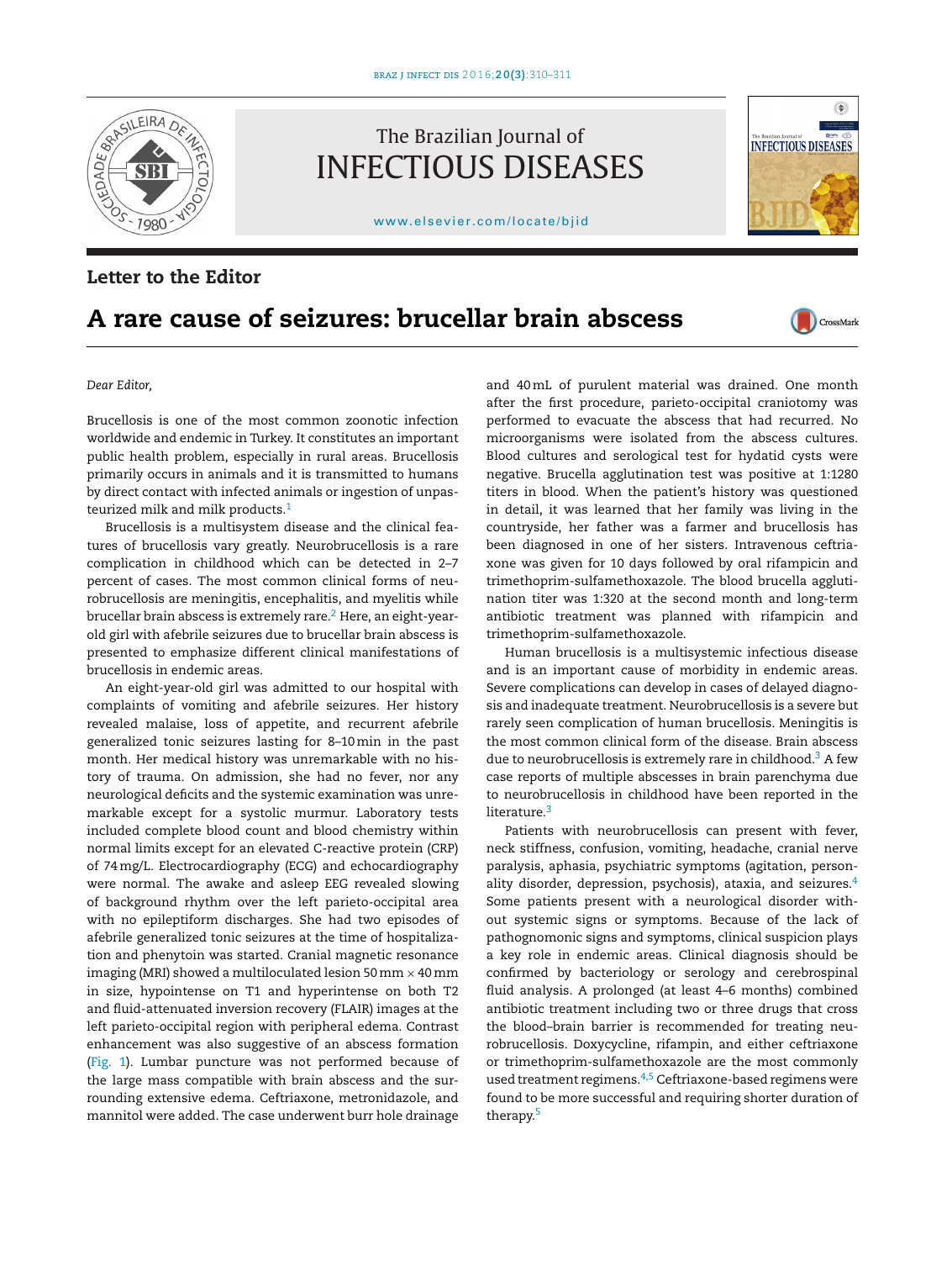

# The Brazilian Journal of INFECTIOUS DISEASES

[www.elsevier.com/locate/bjid](http://www.elsevier.com/locate/bjid)

### **Letter to the Editor**

## **A rare cause of seizures: brucellar brain abscess**

CrossMark

 $\begin{array}{c} \color{blue}{\blacklozenge} \\ \color{blue}{\blacklozenge} \end{array}$ 

**INFECTIOUS DISEASES** 

*Dear Editor,*

Brucellosis is one of the most common zoonotic infection worldwide and endemic in Turkey. It constitutes an important public health problem, especially in rural areas. Brucellosis primarily occurs in animals and it is transmitted to humans by direct contact with infected animals or ingestion of unpas-teurized milk and milk products.<sup>[1](#page-1-0)</sup>

Brucellosis is a multisystem disease and the clinical features of brucellosis vary greatly. Neurobrucellosis is a rare complication in childhood which can be detected in 2–7 percent of cases. The most common clinical forms of neurobrucellosis are meningitis, encephalitis, and myelitis while brucellar brain abscess is extremely rare[.2](#page-1-0) Here, an eight-yearold girl with afebrile seizures due to brucellar brain abscess is presented to emphasize different clinical manifestations of brucellosis in endemic areas.

An eight-year-old girl was admitted to our hospital with complaints of vomiting and afebrile seizures. Her history revealed malaise, loss of appetite, and recurrent afebrile generalized tonic seizures lasting for 8–10min in the past month. Her medical history was unremarkable with no history of trauma. On admission, she had no fever, nor any neurological deficits and the systemic examination was unremarkable except for a systolic murmur. Laboratory tests included complete blood count and blood chemistry within normal limits except for an elevated C-reactive protein (CRP) of 74mg/L. Electrocardiography (ECG) and echocardiography were normal. The awake and asleep EEG revealed slowing of background rhythm over the left parieto-occipital area with no epileptiform discharges. She had two episodes of afebrile generalized tonic seizures at the time of hospitalization and phenytoin was started. Cranial magnetic resonance imaging (MRI) showed a multiloculated lesion 50 mm  $\times$  40 mm in size, hypointense on T1 and hyperintense on both T2 and fluid-attenuated inversion recovery (FLAIR) images at the left parieto-occipital region with peripheral edema. Contrast enhancement was also suggestive of an abscess formation ([Fig.](#page-1-0) 1). Lumbar puncture was not performed because of the large mass compatible with brain abscess and the surrounding extensive edema. Ceftriaxone, metronidazole, and mannitol were added. The case underwent burr hole drainage

and 40mL of purulent material was drained. One month after the first procedure, parieto-occipital craniotomy was performed to evacuate the abscess that had recurred. No microorganisms were isolated from the abscess cultures. Blood cultures and serological test for hydatid cysts were negative. Brucella agglutination test was positive at 1:1280 titers in blood. When the patient's history was questioned in detail, it was learned that her family was living in the countryside, her father was a farmer and brucellosis has been diagnosed in one of her sisters. Intravenous ceftriaxone was given for 10 days followed by oral rifampicin and trimethoprim-sulfamethoxazole. The blood brucella agglutination titer was 1:320 at the second month and long-term antibiotic treatment was planned with rifampicin and trimethoprim-sulfamethoxazole.

Human brucellosis is a multisystemic infectious disease and is an important cause of morbidity in endemic areas. Severe complications can develop in cases of delayed diagnosis and inadequate treatment. Neurobrucellosis is a severe but rarely seen complication of human brucellosis. Meningitis is the most common clinical form of the disease. Brain abscess due to neurobrucellosis is extremely rare in childhood.<sup>[3](#page-1-0)</sup> A few case reports of multiple abscesses in brain parenchyma due to neurobrucellosis in childhood have been reported in the literature.<sup>[3](#page-1-0)</sup>

Patients with neurobrucellosis can present with fever, neck stiffness, confusion, vomiting, headache, cranial nerve paralysis, aphasia, psychiatric symptoms (agitation, person-ality disorder, depression, psychosis), ataxia, and seizures.<sup>[4](#page-1-0)</sup> Some patients present with a neurological disorder without systemic signs or symptoms. Because of the lack of pathognomonic signs and symptoms, clinical suspicion plays a key role in endemic areas. Clinical diagnosis should be confirmed by bacteriology or serology and cerebrospinal fluid analysis. A prolonged (at least 4–6 months) combined antibiotic treatment including two or three drugs that cross the blood–brain barrier is recommended for treating neurobrucellosis. Doxycycline, rifampin, and either ceftriaxone or trimethoprim-sulfamethoxazole are the most commonly used treatment regimens.<sup>[4,5](#page-1-0)</sup> Ceftriaxone-based regimens were found to be more successful and requiring shorter duration of therapy.[5](#page-1-0)